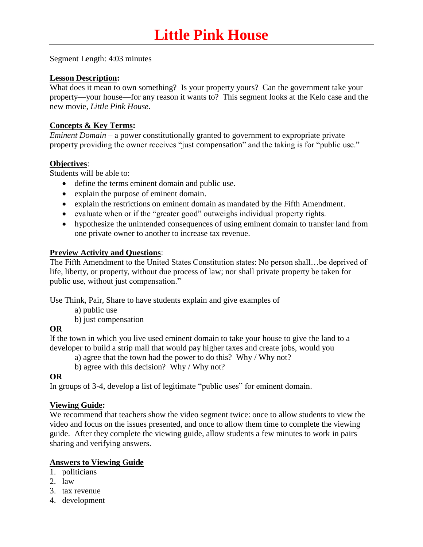# **Little Pink House**

Segment Length: 4:03 minutes

## **Lesson Description:**

What does it mean to own something? Is your property yours? Can the government take your property—your house—for any reason it wants to? This segment looks at the Kelo case and the new movie, *Little Pink House.*

## **Concepts & Key Terms:**

*Eminent Domain –* a power constitutionally granted to government to expropriate private property providing the owner receives "just compensation" and the taking is for "public use."

## **Objectives**:

Students will be able to:

- define the terms eminent domain and public use.
- explain the purpose of eminent domain.
- explain the restrictions on eminent domain as mandated by the Fifth Amendment.
- evaluate when or if the "greater good" outweighs individual property rights.
- hypothesize the unintended consequences of using eminent domain to transfer land from one private owner to another to increase tax revenue.

## **Preview Activity and Questions**:

The Fifth Amendment to the United States Constitution states: No person shall…be deprived of life, liberty, or property, without due process of law; nor shall private property be taken for public use, without just compensation."

Use Think, Pair, Share to have students explain and give examples of

a) public use

b) just compensation

## **OR**

If the town in which you live used eminent domain to take your house to give the land to a developer to build a strip mall that would pay higher taxes and create jobs, would you

a) agree that the town had the power to do this? Why / Why not?

b) agree with this decision? Why / Why not?

## **OR**

In groups of 3-4, develop a list of legitimate "public uses" for eminent domain.

## **Viewing Guide:**

We recommend that teachers show the video segment twice: once to allow students to view the video and focus on the issues presented, and once to allow them time to complete the viewing guide. After they complete the viewing guide, allow students a few minutes to work in pairs sharing and verifying answers.

## **Answers to Viewing Guide**

- 1. politicians
- 2. law
- 3. tax revenue
- 4. development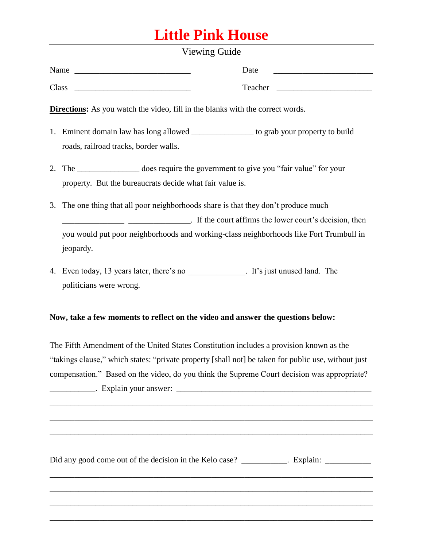## **Little Pink House**

## Viewing Guide

| Name  | Date    |
|-------|---------|
| Class | Teacher |

**Directions:** As you watch the video, fill in the blanks with the correct words.

- 1. Eminent domain law has long allowed \_\_\_\_\_\_\_\_\_\_\_\_\_\_\_ to grab your property to build roads, railroad tracks, border walls.
- 2. The \_\_\_\_\_\_\_\_\_\_\_\_\_\_\_ does require the government to give you "fair value" for your property. But the bureaucrats decide what fair value is.
- 3. The one thing that all poor neighborhoods share is that they don't produce much **EXECUTE:** If the court affirms the lower court's decision, then you would put poor neighborhoods and working-class neighborhoods like Fort Trumbull in jeopardy.
- 4. Even today, 13 years later, there's no **a**  $\cdot$  It's just unused land. The politicians were wrong.

## **Now, take a few moments to reflect on the video and answer the questions below:**

The Fifth Amendment of the United States Constitution includes a provision known as the "takings clause," which states: "private property [shall not] be taken for public use, without just compensation." Based on the video, do you think the Supreme Court decision was appropriate?

\_\_\_\_\_\_\_\_\_\_\_\_\_\_\_\_\_\_\_\_\_\_\_\_\_\_\_\_\_\_\_\_\_\_\_\_\_\_\_\_\_\_\_\_\_\_\_\_\_\_\_\_\_\_\_\_\_\_\_\_\_\_\_\_\_\_\_\_\_\_\_\_\_\_\_\_\_\_

\_\_\_\_\_\_\_\_\_\_\_\_\_\_\_\_\_\_\_\_\_\_\_\_\_\_\_\_\_\_\_\_\_\_\_\_\_\_\_\_\_\_\_\_\_\_\_\_\_\_\_\_\_\_\_\_\_\_\_\_\_\_\_\_\_\_\_\_\_\_\_\_\_\_\_\_\_\_

\_\_\_\_\_\_\_\_\_\_\_\_\_\_\_\_\_\_\_\_\_\_\_\_\_\_\_\_\_\_\_\_\_\_\_\_\_\_\_\_\_\_\_\_\_\_\_\_\_\_\_\_\_\_\_\_\_\_\_\_\_\_\_\_\_\_\_\_\_\_\_\_\_\_\_\_\_\_

\_\_\_\_\_\_\_\_\_\_\_\_\_\_\_\_\_\_\_\_\_\_\_\_\_\_\_\_\_\_\_\_\_\_\_\_\_\_\_\_\_\_\_\_\_\_\_\_\_\_\_\_\_\_\_\_\_\_\_\_\_\_\_\_\_\_\_\_\_\_\_\_\_\_\_\_\_\_

\_\_\_\_\_\_\_\_\_\_\_\_\_\_\_\_\_\_\_\_\_\_\_\_\_\_\_\_\_\_\_\_\_\_\_\_\_\_\_\_\_\_\_\_\_\_\_\_\_\_\_\_\_\_\_\_\_\_\_\_\_\_\_\_\_\_\_\_\_\_\_\_\_\_\_\_\_\_

\_\_\_\_\_\_\_\_\_\_\_\_\_\_\_\_\_\_\_\_\_\_\_\_\_\_\_\_\_\_\_\_\_\_\_\_\_\_\_\_\_\_\_\_\_\_\_\_\_\_\_\_\_\_\_\_\_\_\_\_\_\_\_\_\_\_\_\_\_\_\_\_\_\_\_\_\_\_

 $\therefore$  Explain your answer:

Did any good come out of the decision in the Kelo case? Explain: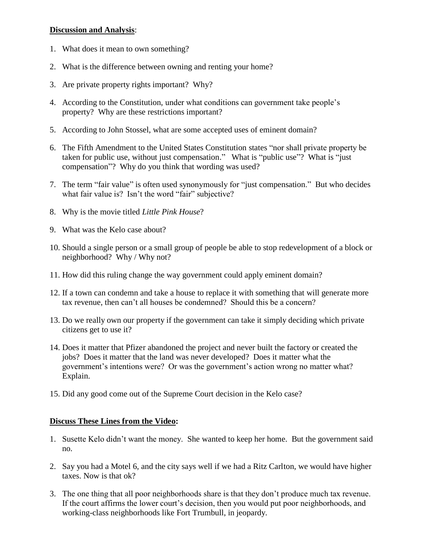### **Discussion and Analysis**:

- 1. What does it mean to own something?
- 2. What is the difference between owning and renting your home?
- 3. Are private property rights important? Why?
- 4. According to the Constitution, under what conditions can government take people's property? Why are these restrictions important?
- 5. According to John Stossel, what are some accepted uses of eminent domain?
- 6. The Fifth Amendment to the United States Constitution states "nor shall private property be taken for public use, without just compensation." What is "public use"? What is "just compensation"? Why do you think that wording was used?
- 7. The term "fair value" is often used synonymously for "just compensation." But who decides what fair value is? Isn't the word "fair" subjective?
- 8. Why is the movie titled *Little Pink House*?
- 9. What was the Kelo case about?
- 10. Should a single person or a small group of people be able to stop redevelopment of a block or neighborhood? Why / Why not?
- 11. How did this ruling change the way government could apply eminent domain?
- 12. If a town can condemn and take a house to replace it with something that will generate more tax revenue, then can't all houses be condemned? Should this be a concern?
- 13. Do we really own our property if the government can take it simply deciding which private citizens get to use it?
- 14. Does it matter that Pfizer abandoned the project and never built the factory or created the jobs? Does it matter that the land was never developed? Does it matter what the government's intentions were? Or was the government's action wrong no matter what? Explain.
- 15. Did any good come out of the Supreme Court decision in the Kelo case?

### **Discuss These Lines from the Video:**

- 1. Susette Kelo didn't want the money. She wanted to keep her home. But the government said no.
- 2. Say you had a Motel 6, and the city says well if we had a Ritz Carlton, we would have higher taxes. Now is that ok?
- 3. The one thing that all poor neighborhoods share is that they don't produce much tax revenue. If the court affirms the lower court's decision, then you would put poor neighborhoods, and working-class neighborhoods like Fort Trumbull, in jeopardy.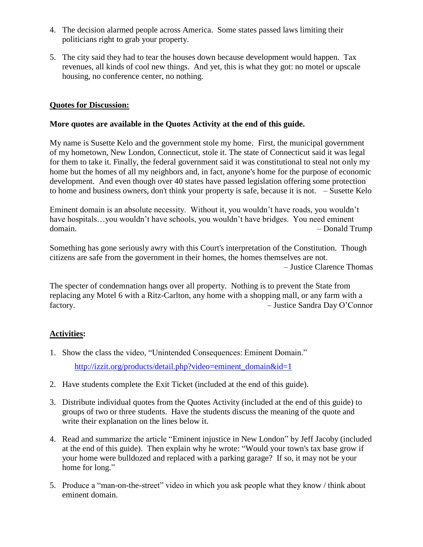- 4. The decision alarmed people across America. Some states passed laws limiting their politicians right to grab your property.
- 5. The city said they had to tear the houses down because development would happen. Tax revenues, all kinds of cool new things. And yet, this is what they got: no motel or upscale housing, no conference center, no nothing.

### **Quotes for Discussion:**

#### **More quotes are available in the Quotes Activity at the end of this guide.**

My name is Susette Kelo and the government stole my home. First, the municipal government of my hometown, New London, Connecticut, stole it. The state of Connecticut said it was legal for them to take it. Finally, the federal government said it was constitutional to steal not only my home but the homes of all my neighbors and, in fact, anyone's home for the purpose of economic development. And even though over 40 states have passed legislation offering some protection to home and business owners, don't think your property is safe, because it is not. – Susette Kelo

Eminent domain is an absolute necessity. Without it, you wouldn't have roads, you wouldn't have hospitals...you wouldn't have schools, you wouldn't have bridges. You need eminent domain. – Donald Trump

Something has gone seriously awry with this Court's interpretation of the Constitution. Though citizens are safe from the government in their homes, the homes themselves are not. – Justice Clarence Thomas

The specter of condemnation hangs over all property. Nothing is to prevent the State from replacing any Motel 6 with a Ritz-Carlton, any home with a shopping mall, or any farm with a factory. – Justice Sandra Day O'Connor

## **Activities:**

- 1. Show the class the video, "Unintended Consequences: Eminent Domain." [http://izzit.org/products/detail.php?video=eminent\\_domain&id=1](http://izzit.org/products/detail.php?video=eminent_domain&id=1)
- 2. Have students complete the Exit Ticket (included at the end of this guide).
- 3. Distribute individual quotes from the Quotes Activity (included at the end of this guide) to groups of two or three students. Have the students discuss the meaning of the quote and write their explanation on the lines below it.
- 4. Read and summarize the article "Eminent injustice in New London" by Jeff Jacoby (included at the end of this guide). Then explain why he wrote: "Would your town's tax base grow if your home were bulldozed and replaced with a parking garage? If so, it may not be your home for long."
- 5. Produce a "man-on-the-street" video in which you ask people what they know / think about eminent domain.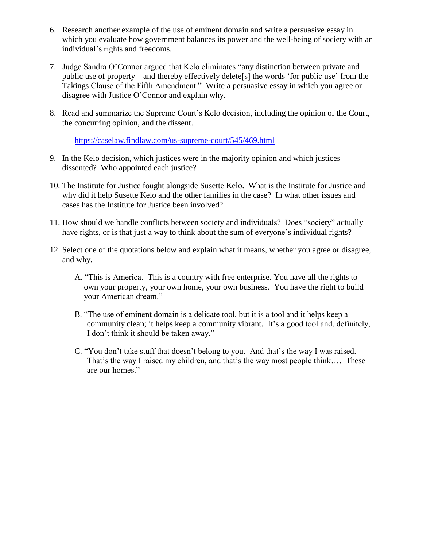- 6. Research another example of the use of eminent domain and write a persuasive essay in which you evaluate how government balances its power and the well-being of society with an individual's rights and freedoms.
- 7. Judge Sandra O'Connor argued that Kelo eliminates "any distinction between private and public use of property—and thereby effectively delete[s] the words 'for public use' from the Takings Clause of the Fifth Amendment." Write a persuasive essay in which you agree or disagree with Justice O'Connor and explain why.
- 8. Read and summarize the Supreme Court's Kelo decision, including the opinion of the Court, the concurring opinion, and the dissent.

<https://caselaw.findlaw.com/us-supreme-court/545/469.html>

- 9. In the Kelo decision, which justices were in the majority opinion and which justices dissented? Who appointed each justice?
- 10. The Institute for Justice fought alongside Susette Kelo. What is the Institute for Justice and why did it help Susette Kelo and the other families in the case? In what other issues and cases has the Institute for Justice been involved?
- 11. How should we handle conflicts between society and individuals? Does "society" actually have rights, or is that just a way to think about the sum of everyone's individual rights?
- 12. Select one of the quotations below and explain what it means, whether you agree or disagree, and why.
	- A. "This is America. This is a country with free enterprise. You have all the rights to own your property, your own home, your own business. You have the right to build your American dream."
	- B. "The use of eminent domain is a delicate tool, but it is a tool and it helps keep a community clean; it helps keep a community vibrant. It's a good tool and, definitely, I don't think it should be taken away."
	- C. "You don't take stuff that doesn't belong to you. And that's the way I was raised. That's the way I raised my children, and that's the way most people think…. These are our homes."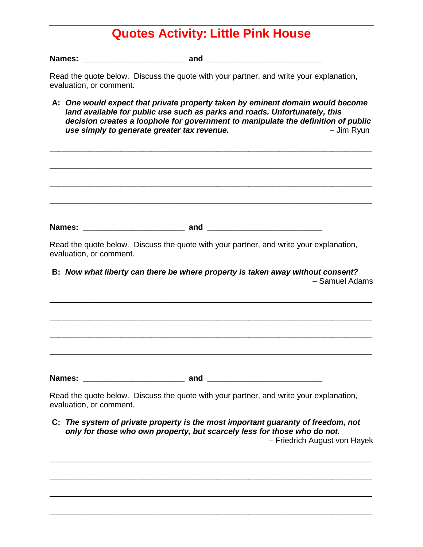## **Quotes Activity: Little Pink House**

**Names: \_\_\_\_\_\_\_\_\_\_\_\_\_\_\_\_\_\_\_\_\_\_\_ and \_\_\_\_\_\_\_\_\_\_\_\_\_\_\_\_\_\_\_\_\_\_\_\_\_\_**

Read the quote below. Discuss the quote with your partner, and write your explanation, evaluation, or comment.

**A:** *One would expect that private property taken by eminent domain would become land available for public use such as parks and roads. Unfortunately, this decision creates a loophole for government to manipulate the definition of public*  **use simply to generate greater tax revenue. Fig. 2.1 Comparently respect to the UP** dim Ryun

| Read the quote below. Discuss the quote with your partner, and write your explanation,<br>evaluation, or comment. |                                                                                                          |
|-------------------------------------------------------------------------------------------------------------------|----------------------------------------------------------------------------------------------------------|
| B: Now what liberty can there be where property is taken away without consent?                                    | - Samuel Adams                                                                                           |
|                                                                                                                   |                                                                                                          |
|                                                                                                                   |                                                                                                          |
|                                                                                                                   |                                                                                                          |
| Read the quote below. Discuss the quote with your partner, and write your explanation,<br>evaluation, or comment. |                                                                                                          |
| C: The system of private property is the most important guaranty of freedom, not                                  |                                                                                                          |
|                                                                                                                   | only for those who own property, but scarcely less for those who do not.<br>- Friedrich August von Hayek |

\_\_\_\_\_\_\_\_\_\_\_\_\_\_\_\_\_\_\_\_\_\_\_\_\_\_\_\_\_\_\_\_\_\_\_\_\_\_\_\_\_\_\_\_\_\_\_\_\_\_\_\_\_\_\_\_\_\_\_\_\_\_\_\_\_\_\_\_\_\_\_\_\_

\_\_\_\_\_\_\_\_\_\_\_\_\_\_\_\_\_\_\_\_\_\_\_\_\_\_\_\_\_\_\_\_\_\_\_\_\_\_\_\_\_\_\_\_\_\_\_\_\_\_\_\_\_\_\_\_\_\_\_\_\_\_\_\_\_\_\_\_\_\_\_\_\_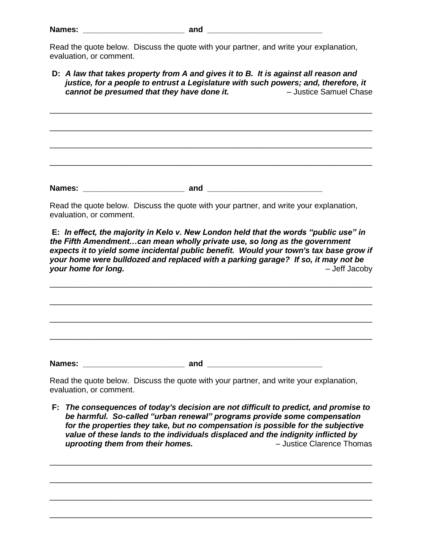Read the quote below. Discuss the quote with your partner, and write your explanation, evaluation, or comment.

**D:** *A law that takes property from A and gives it to B. It is against all reason and justice, for a people to entrust a Legislature with such powers; and, therefore, it cannot be presumed that they have done it.* – Justice Samuel Chase

\_\_\_\_\_\_\_\_\_\_\_\_\_\_\_\_\_\_\_\_\_\_\_\_\_\_\_\_\_\_\_\_\_\_\_\_\_\_\_\_\_\_\_\_\_\_\_\_\_\_\_\_\_\_\_\_\_\_\_\_\_\_\_\_\_\_\_\_\_\_\_\_\_

\_\_\_\_\_\_\_\_\_\_\_\_\_\_\_\_\_\_\_\_\_\_\_\_\_\_\_\_\_\_\_\_\_\_\_\_\_\_\_\_\_\_\_\_\_\_\_\_\_\_\_\_\_\_\_\_\_\_\_\_\_\_\_\_\_\_\_\_\_\_\_\_\_

\_\_\_\_\_\_\_\_\_\_\_\_\_\_\_\_\_\_\_\_\_\_\_\_\_\_\_\_\_\_\_\_\_\_\_\_\_\_\_\_\_\_\_\_\_\_\_\_\_\_\_\_\_\_\_\_\_\_\_\_\_\_\_\_\_\_\_\_\_\_\_\_\_

\_\_\_\_\_\_\_\_\_\_\_\_\_\_\_\_\_\_\_\_\_\_\_\_\_\_\_\_\_\_\_\_\_\_\_\_\_\_\_\_\_\_\_\_\_\_\_\_\_\_\_\_\_\_\_\_\_\_\_\_\_\_\_\_\_\_\_\_\_\_\_\_\_

Read the quote below. Discuss the quote with your partner, and write your explanation,

**Names: \_\_\_\_\_\_\_\_\_\_\_\_\_\_\_\_\_\_\_\_\_\_\_ and \_\_\_\_\_\_\_\_\_\_\_\_\_\_\_\_\_\_\_\_\_\_\_\_\_\_**

evaluation, or comment.

**E:** *In effect, the majority in Kelo v. New London held that the words "public use" in the Fifth Amendment…can mean wholly private use, so long as the government expects it to yield some incidental public benefit. Would your town's tax base grow if your home were bulldozed and replaced with a parking garage? If so, it may not be your home for long.* – Jeff Jacoby

\_\_\_\_\_\_\_\_\_\_\_\_\_\_\_\_\_\_\_\_\_\_\_\_\_\_\_\_\_\_\_\_\_\_\_\_\_\_\_\_\_\_\_\_\_\_\_\_\_\_\_\_\_\_\_\_\_\_\_\_\_\_\_\_\_\_\_\_\_\_\_\_\_

\_\_\_\_\_\_\_\_\_\_\_\_\_\_\_\_\_\_\_\_\_\_\_\_\_\_\_\_\_\_\_\_\_\_\_\_\_\_\_\_\_\_\_\_\_\_\_\_\_\_\_\_\_\_\_\_\_\_\_\_\_\_\_\_\_\_\_\_\_\_\_\_\_

\_\_\_\_\_\_\_\_\_\_\_\_\_\_\_\_\_\_\_\_\_\_\_\_\_\_\_\_\_\_\_\_\_\_\_\_\_\_\_\_\_\_\_\_\_\_\_\_\_\_\_\_\_\_\_\_\_\_\_\_\_\_\_\_\_\_\_\_\_\_\_\_\_

\_\_\_\_\_\_\_\_\_\_\_\_\_\_\_\_\_\_\_\_\_\_\_\_\_\_\_\_\_\_\_\_\_\_\_\_\_\_\_\_\_\_\_\_\_\_\_\_\_\_\_\_\_\_\_\_\_\_\_\_\_\_\_\_\_\_\_\_\_\_\_\_\_

**Names: and**  *and* **<b>***and and and and and and and and and and and and and and and and and and and and and and and and and* 

Read the quote below. Discuss the quote with your partner, and write your explanation, evaluation, or comment.

**F:** *The consequences of today's decision are not difficult to predict, and promise to be harmful. So-called "urban renewal" programs provide some compensation for the properties they take, but no compensation is possible for the subjective value of these lands to the individuals displaced and the indignity inflicted by uprooting them from their homes.* – Justice Clarence Thomas

\_\_\_\_\_\_\_\_\_\_\_\_\_\_\_\_\_\_\_\_\_\_\_\_\_\_\_\_\_\_\_\_\_\_\_\_\_\_\_\_\_\_\_\_\_\_\_\_\_\_\_\_\_\_\_\_\_\_\_\_\_\_\_\_\_\_\_\_\_\_\_\_\_

\_\_\_\_\_\_\_\_\_\_\_\_\_\_\_\_\_\_\_\_\_\_\_\_\_\_\_\_\_\_\_\_\_\_\_\_\_\_\_\_\_\_\_\_\_\_\_\_\_\_\_\_\_\_\_\_\_\_\_\_\_\_\_\_\_\_\_\_\_\_\_\_\_

\_\_\_\_\_\_\_\_\_\_\_\_\_\_\_\_\_\_\_\_\_\_\_\_\_\_\_\_\_\_\_\_\_\_\_\_\_\_\_\_\_\_\_\_\_\_\_\_\_\_\_\_\_\_\_\_\_\_\_\_\_\_\_\_\_\_\_\_\_\_\_\_\_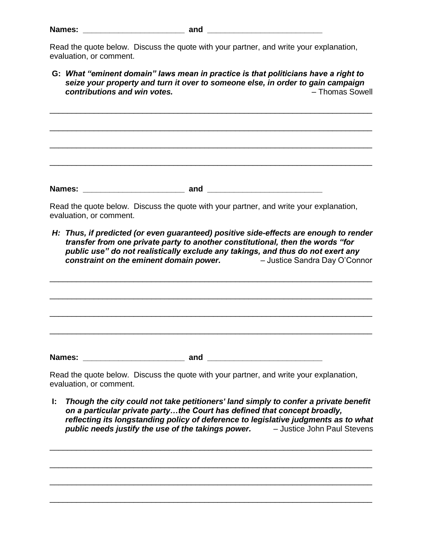Read the quote below. Discuss the quote with your partner, and write your explanation, evaluation, or comment.

**G:** *What "eminent domain" laws mean in practice is that politicians have a right to seize your property and turn it over to someone else, in order to gain campaign contributions and win votes.* – Thomas Sowell

\_\_\_\_\_\_\_\_\_\_\_\_\_\_\_\_\_\_\_\_\_\_\_\_\_\_\_\_\_\_\_\_\_\_\_\_\_\_\_\_\_\_\_\_\_\_\_\_\_\_\_\_\_\_\_\_\_\_\_\_\_\_\_\_\_\_\_\_\_\_\_\_\_

\_\_\_\_\_\_\_\_\_\_\_\_\_\_\_\_\_\_\_\_\_\_\_\_\_\_\_\_\_\_\_\_\_\_\_\_\_\_\_\_\_\_\_\_\_\_\_\_\_\_\_\_\_\_\_\_\_\_\_\_\_\_\_\_\_\_\_\_\_\_\_\_\_

\_\_\_\_\_\_\_\_\_\_\_\_\_\_\_\_\_\_\_\_\_\_\_\_\_\_\_\_\_\_\_\_\_\_\_\_\_\_\_\_\_\_\_\_\_\_\_\_\_\_\_\_\_\_\_\_\_\_\_\_\_\_\_\_\_\_\_\_\_\_\_\_\_

\_\_\_\_\_\_\_\_\_\_\_\_\_\_\_\_\_\_\_\_\_\_\_\_\_\_\_\_\_\_\_\_\_\_\_\_\_\_\_\_\_\_\_\_\_\_\_\_\_\_\_\_\_\_\_\_\_\_\_\_\_\_\_\_\_\_\_\_\_\_\_\_\_

Read the quote below. Discuss the quote with your partner, and write your explanation, evaluation, or comment.

**Names: and**  *and* **<b>***and and and and and and and and and and and and and and and and and and and and and and and and and* 

*H: Thus, if predicted (or even guaranteed) positive side-effects are enough to render transfer from one private party to another constitutional, then the words "for public use" do not realistically exclude any takings, and thus do not exert any constraint on the eminent domain power.* – Justice Sandra Day O'Connor

\_\_\_\_\_\_\_\_\_\_\_\_\_\_\_\_\_\_\_\_\_\_\_\_\_\_\_\_\_\_\_\_\_\_\_\_\_\_\_\_\_\_\_\_\_\_\_\_\_\_\_\_\_\_\_\_\_\_\_\_\_\_\_\_\_\_\_\_\_\_\_\_\_

\_\_\_\_\_\_\_\_\_\_\_\_\_\_\_\_\_\_\_\_\_\_\_\_\_\_\_\_\_\_\_\_\_\_\_\_\_\_\_\_\_\_\_\_\_\_\_\_\_\_\_\_\_\_\_\_\_\_\_\_\_\_\_\_\_\_\_\_\_\_\_\_\_

\_\_\_\_\_\_\_\_\_\_\_\_\_\_\_\_\_\_\_\_\_\_\_\_\_\_\_\_\_\_\_\_\_\_\_\_\_\_\_\_\_\_\_\_\_\_\_\_\_\_\_\_\_\_\_\_\_\_\_\_\_\_\_\_\_\_\_\_\_\_\_\_\_ \_\_\_\_\_\_\_\_\_\_\_\_\_\_\_\_\_\_\_\_\_\_\_\_\_\_\_\_\_\_\_\_\_\_\_\_\_\_\_\_\_\_\_\_\_\_\_\_\_\_\_\_\_\_\_\_\_\_\_\_\_\_\_\_\_\_\_\_\_\_\_\_\_ **Names: and**  *and* **<b>***and and and <i>and and and and and and and and and and and and and and and and and and and and and and* 

Read the quote below. Discuss the quote with your partner, and write your explanation, evaluation, or comment.

**I:** *Though the city could not take petitioners' land simply to confer a private benefit on a particular private party…the Court has defined that concept broadly, reflecting its longstanding policy of deference to legislative judgments as to what public needs justify the use of the takings power.* – Justice John Paul Stevens

\_\_\_\_\_\_\_\_\_\_\_\_\_\_\_\_\_\_\_\_\_\_\_\_\_\_\_\_\_\_\_\_\_\_\_\_\_\_\_\_\_\_\_\_\_\_\_\_\_\_\_\_\_\_\_\_\_\_\_\_\_\_\_\_\_\_\_\_\_\_\_\_\_

\_\_\_\_\_\_\_\_\_\_\_\_\_\_\_\_\_\_\_\_\_\_\_\_\_\_\_\_\_\_\_\_\_\_\_\_\_\_\_\_\_\_\_\_\_\_\_\_\_\_\_\_\_\_\_\_\_\_\_\_\_\_\_\_\_\_\_\_\_\_\_\_\_

\_\_\_\_\_\_\_\_\_\_\_\_\_\_\_\_\_\_\_\_\_\_\_\_\_\_\_\_\_\_\_\_\_\_\_\_\_\_\_\_\_\_\_\_\_\_\_\_\_\_\_\_\_\_\_\_\_\_\_\_\_\_\_\_\_\_\_\_\_\_\_\_\_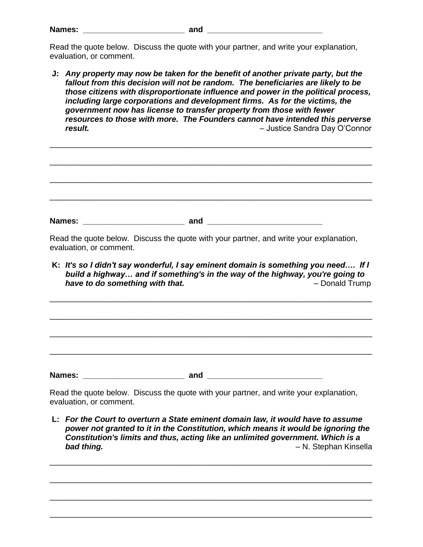| Names: |  |
|--------|--|
|        |  |

Read the quote below. Discuss the quote with your partner, and write your explanation, evaluation, or comment.

**J:** *Any property may now be taken for the benefit of another private party, but the fallout from this decision will not be random. The beneficiaries are likely to be those citizens with disproportionate influence and power in the political process, including large corporations and development firms. As for the victims, the government now has license to transfer property from those with fewer resources to those with more. The Founders cannot have intended this perverse result.* – Justice Sandra Day O'Connor

| <b>Names:</b> | and | <u> 1980 - Jan Samuel Barbara, politik eta politik eta politik eta politik eta politik eta politik eta politik e</u> |  |
|---------------|-----|----------------------------------------------------------------------------------------------------------------------|--|

Read the quote below. Discuss the quote with your partner, and write your explanation, evaluation, or comment.

**K:** *It's so I didn't say wonderful, I say eminent domain is something you need…. If I build a highway… and if something's in the way of the highway, you're going to*  **have to do something with that. Figure 1.1 and 1.4 and 1.4 and 1.4 and 1.4 and 1.4 and 1.4 and 1.4 and 1.4 and 1.4 and 1.4 and 1.4 and 1.4 and 1.4 and 1.4 and 1.4 and 1.4 and 1.4 and 1.4 and 1.4 and 1.4 and 1.4 and 1.4** 

\_\_\_\_\_\_\_\_\_\_\_\_\_\_\_\_\_\_\_\_\_\_\_\_\_\_\_\_\_\_\_\_\_\_\_\_\_\_\_\_\_\_\_\_\_\_\_\_\_\_\_\_\_\_\_\_\_\_\_\_\_\_\_\_\_\_\_\_\_\_\_\_\_

\_\_\_\_\_\_\_\_\_\_\_\_\_\_\_\_\_\_\_\_\_\_\_\_\_\_\_\_\_\_\_\_\_\_\_\_\_\_\_\_\_\_\_\_\_\_\_\_\_\_\_\_\_\_\_\_\_\_\_\_\_\_\_\_\_\_\_\_\_\_\_\_\_

\_\_\_\_\_\_\_\_\_\_\_\_\_\_\_\_\_\_\_\_\_\_\_\_\_\_\_\_\_\_\_\_\_\_\_\_\_\_\_\_\_\_\_\_\_\_\_\_\_\_\_\_\_\_\_\_\_\_\_\_\_\_\_\_\_\_\_\_\_\_\_\_\_

\_\_\_\_\_\_\_\_\_\_\_\_\_\_\_\_\_\_\_\_\_\_\_\_\_\_\_\_\_\_\_\_\_\_\_\_\_\_\_\_\_\_\_\_\_\_\_\_\_\_\_\_\_\_\_\_\_\_\_\_\_\_\_\_\_\_\_\_\_\_\_\_\_

Read the quote below. Discuss the quote with your partner, and write your explanation,

**Names: \_\_\_\_\_\_\_\_\_\_\_\_\_\_\_\_\_\_\_\_\_\_\_ and \_\_\_\_\_\_\_\_\_\_\_\_\_\_\_\_\_\_\_\_\_\_\_\_\_\_**

evaluation, or comment.

**L:** *For the Court to overturn a State eminent domain law, it would have to assume power not granted to it in the Constitution, which means it would be ignoring the Constitution's limits and thus, acting like an unlimited government. Which is a bad thing.* – N. Stephan Kinsella

\_\_\_\_\_\_\_\_\_\_\_\_\_\_\_\_\_\_\_\_\_\_\_\_\_\_\_\_\_\_\_\_\_\_\_\_\_\_\_\_\_\_\_\_\_\_\_\_\_\_\_\_\_\_\_\_\_\_\_\_\_\_\_\_\_\_\_\_\_\_\_\_\_

\_\_\_\_\_\_\_\_\_\_\_\_\_\_\_\_\_\_\_\_\_\_\_\_\_\_\_\_\_\_\_\_\_\_\_\_\_\_\_\_\_\_\_\_\_\_\_\_\_\_\_\_\_\_\_\_\_\_\_\_\_\_\_\_\_\_\_\_\_\_\_\_\_

\_\_\_\_\_\_\_\_\_\_\_\_\_\_\_\_\_\_\_\_\_\_\_\_\_\_\_\_\_\_\_\_\_\_\_\_\_\_\_\_\_\_\_\_\_\_\_\_\_\_\_\_\_\_\_\_\_\_\_\_\_\_\_\_\_\_\_\_\_\_\_\_\_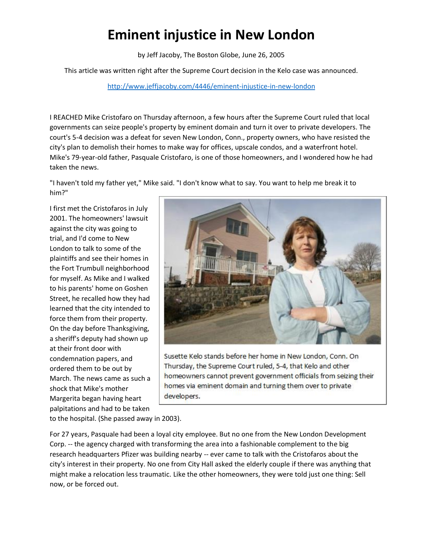## **Eminent injustice in New London**

by Jeff Jacoby, The Boston Globe, June 26, 2005

This article was written right after the Supreme Court decision in the Kelo case was announced.

<http://www.jeffjacoby.com/4446/eminent-injustice-in-new-london>

I REACHED Mike Cristofaro on Thursday afternoon, a few hours after the Supreme Court ruled that local governments can seize people's property by eminent domain and turn it over to private developers. The court's 5-4 decision was a defeat for seven New London, Conn., property owners, who have resisted the city's plan to demolish their homes to make way for offices, upscale condos, and a waterfront hotel. Mike's 79-year-old father, Pasquale Cristofaro, is one of those homeowners, and I wondered how he had taken the news.

"I haven't told my father yet," Mike said. "I don't know what to say. You want to help me break it to him?"

I first met the Cristofaros in July 2001. The homeowners' lawsuit against the city was going to trial, and I'd come to New London to talk to some of the plaintiffs and see their homes in the Fort Trumbull neighborhood for myself. As Mike and I walked to his parents' home on Goshen Street, he recalled how they had learned that the city intended to force them from their property. On the day before Thanksgiving, a sheriff's deputy had shown up at their front door with condemnation papers, and ordered them to be out by March. The news came as such a shock that Mike's mother Margerita began having heart palpitations and had to be taken



Susette Kelo stands before her home in New London, Conn. On Thursday, the Supreme Court ruled, 5-4, that Kelo and other homeowners cannot prevent government officials from seizing their homes via eminent domain and turning them over to private developers.

to the hospital. (She passed away in 2003).

For 27 years, Pasquale had been a loyal city employee. But no one from the New London Development Corp. -- the agency charged with transforming the area into a fashionable complement to the big research headquarters Pfizer was building nearby -- ever came to talk with the Cristofaros about the city's interest in their property. No one from City Hall asked the elderly couple if there was anything that might make a relocation less traumatic. Like the other homeowners, they were told just one thing: Sell now, or be forced out.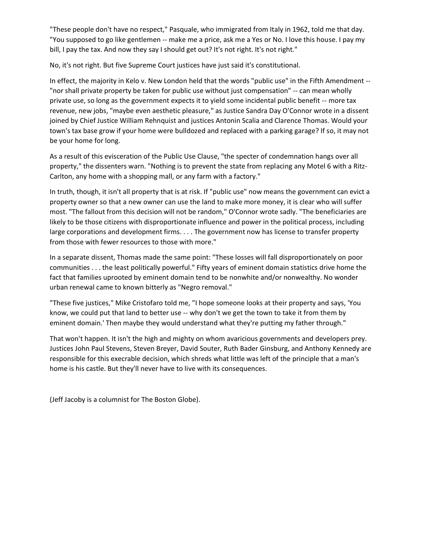"These people don't have no respect," Pasquale, who immigrated from Italy in 1962, told me that day. "You supposed to go like gentlemen -- make me a price, ask me a Yes or No. I love this house. I pay my bill, I pay the tax. And now they say I should get out? It's not right. It's not right."

No, it's not right. But five Supreme Court justices have just said it's constitutional.

In effect, the majority in Kelo v. New London held that the words "public use" in the Fifth Amendment -- "nor shall private property be taken for public use without just compensation" -- can mean wholly private use, so long as the government expects it to yield some incidental public benefit -- more tax revenue, new jobs, "maybe even aesthetic pleasure," as Justice Sandra Day O'Connor wrote in a dissent joined by Chief Justice William Rehnquist and justices Antonin Scalia and Clarence Thomas. Would your town's tax base grow if your home were bulldozed and replaced with a parking garage? If so, it may not be your home for long.

As a result of this evisceration of the Public Use Clause, "the specter of condemnation hangs over all property," the dissenters warn. "Nothing is to prevent the state from replacing any Motel 6 with a Ritz-Carlton, any home with a shopping mall, or any farm with a factory."

In truth, though, it isn't all property that is at risk. If "public use" now means the government can evict a property owner so that a new owner can use the land to make more money, it is clear who will suffer most. "The fallout from this decision will not be random," O'Connor wrote sadly. "The beneficiaries are likely to be those citizens with disproportionate influence and power in the political process, including large corporations and development firms. . . . The government now has license to transfer property from those with fewer resources to those with more."

In a separate dissent, Thomas made the same point: "These losses will fall disproportionately on poor communities . . . the least politically powerful." Fifty years of eminent domain statistics drive home the fact that families uprooted by eminent domain tend to be nonwhite and/or nonwealthy. No wonder urban renewal came to known bitterly as "Negro removal."

"These five justices," Mike Cristofaro told me, "I hope someone looks at their property and says, 'You know, we could put that land to better use -- why don't we get the town to take it from them by eminent domain.' Then maybe they would understand what they're putting my father through."

That won't happen. It isn't the high and mighty on whom avaricious governments and developers prey. Justices John Paul Stevens, Steven Breyer, David Souter, Ruth Bader Ginsburg, and Anthony Kennedy are responsible for this execrable decision, which shreds what little was left of the principle that a man's home is his castle. But they'll never have to live with its consequences.

(Jeff Jacoby is a columnist for The Boston Globe).